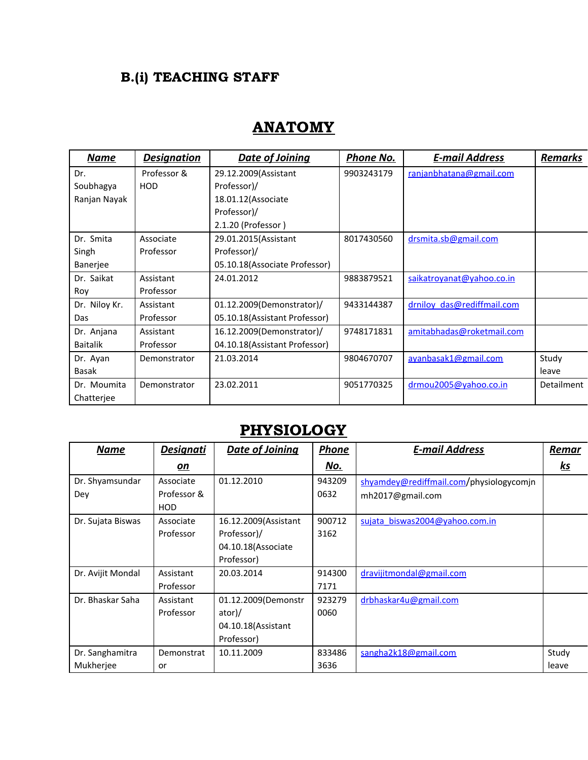## B.(i) TEACHING STAFF

## ANATOMY

| <u>Name</u>     | <b>Designation</b> | Date of Joining                | Phone No.  | <b>E-mail Address</b>      | <b>Remarks</b> |
|-----------------|--------------------|--------------------------------|------------|----------------------------|----------------|
| Dr.             | Professor &        | 29.12.2009(Assistant           | 9903243179 | ranjanbhatana@gmail.com    |                |
| Soubhagya       | <b>HOD</b>         | Professor)/                    |            |                            |                |
| Ranjan Nayak    |                    | 18.01.12 (Associate            |            |                            |                |
|                 |                    | Professor)/                    |            |                            |                |
|                 |                    | 2.1.20 (Professor)             |            |                            |                |
| Dr. Smita       | Associate          | 29.01.2015(Assistant           | 8017430560 | drsmita.sb@gmail.com       |                |
| Singh           | Professor          | Professor)/                    |            |                            |                |
| <b>Banerjee</b> |                    | 05.10.18(Associate Professor)  |            |                            |                |
| Dr. Saikat      | Assistant          | 24.01.2012                     | 9883879521 | saikatroyanat@yahoo.co.in  |                |
| Roy             | Professor          |                                |            |                            |                |
| Dr. Niloy Kr.   | Assistant          | 01.12.2009(Demonstrator)/      | 9433144387 | drniloy das@rediffmail.com |                |
| Das             | Professor          | 05.10.18 (Assistant Professor) |            |                            |                |
| Dr. Anjana      | Assistant          | 16.12.2009(Demonstrator)/      | 9748171831 | amitabhadas@roketmail.com  |                |
| <b>Baitalik</b> | Professor          | 04.10.18 (Assistant Professor) |            |                            |                |
| Dr. Ayan        | Demonstrator       | 21.03.2014                     | 9804670707 | ayanbasak1@gmail.com       | Study          |
| Basak           |                    |                                |            |                            | leave          |
| Dr. Moumita     | Demonstrator       | 23.02.2011                     | 9051770325 | drmou2005@yahoo.co.in      | Detailment     |
| Chatterjee      |                    |                                |            |                            |                |

## **PHYSIOLOGY**

| <u>Name</u>       | <b>Designati</b> | <b>Date of Joining</b> | <b>Phone</b> | <b>E-mail Address</b>                   | Remar     |
|-------------------|------------------|------------------------|--------------|-----------------------------------------|-----------|
|                   | <u>on</u>        |                        | <u>No.</u>   |                                         | <u>ks</u> |
| Dr. Shyamsundar   | Associate        | 01.12.2010             | 943209       | shyamdey@rediffmail.com/physiologycomjn |           |
| Dey               | Professor &      |                        | 0632         | mh2017@gmail.com                        |           |
|                   | HOD              |                        |              |                                         |           |
| Dr. Sujata Biswas | Associate        | 16.12.2009(Assistant   | 900712       | sujata biswas2004@yahoo.com.in          |           |
|                   | Professor        | Professor)/            | 3162         |                                         |           |
|                   |                  | 04.10.18 (Associate    |              |                                         |           |
|                   |                  | Professor)             |              |                                         |           |
| Dr. Avijit Mondal | Assistant        | 20.03.2014             | 914300       | dravijitmondal@gmail.com                |           |
|                   | Professor        |                        | 7171         |                                         |           |
| Dr. Bhaskar Saha  | Assistant        | 01.12.2009(Demonstr    | 923279       | drbhaskar4u@gmail.com                   |           |
|                   | Professor        | ator)/                 | 0060         |                                         |           |
|                   |                  | 04.10.18 (Assistant    |              |                                         |           |
|                   |                  | Professor)             |              |                                         |           |
| Dr. Sanghamitra   | Demonstrat       | 10.11.2009             | 833486       | sangha2k18@gmail.com                    | Study     |
| Mukherjee         | or               |                        | 3636         |                                         | leave     |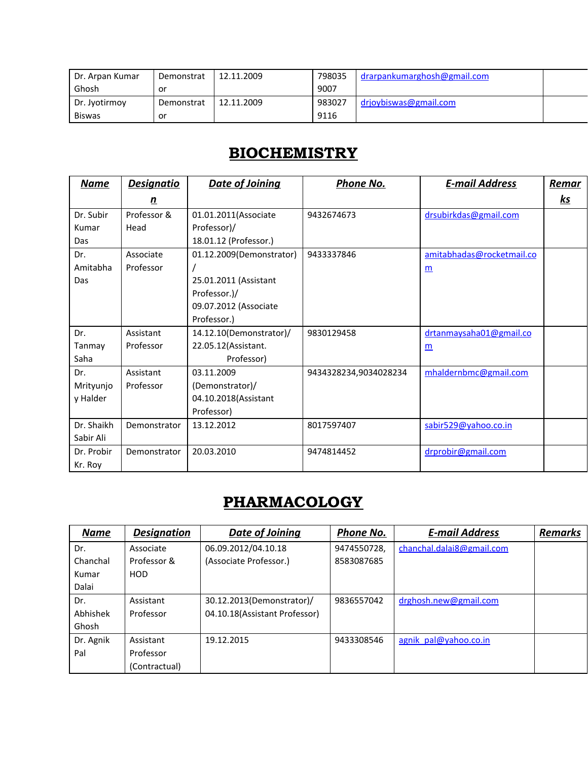| Dr. Arpan Kumar | Demonstrat | 12.11.2009 | 798035 | drarpankumarghosh@gmail.com |  |
|-----------------|------------|------------|--------|-----------------------------|--|
| Ghosh           | or         |            | 9007   |                             |  |
| Dr. Jyotirmoy   | Demonstrat | 12.11.2009 | 983027 | drjoybiswas@gmail.com       |  |
| <b>Biswas</b>   | or         |            | 9116   |                             |  |

## **BIOCHEMISTRY**

| <u>Name</u> | <u>Designatio</u> | Date of Joining          | Phone No.             | <b>E-mail Address</b>     | <b>Remar</b> |
|-------------|-------------------|--------------------------|-----------------------|---------------------------|--------------|
|             | <u>n</u>          |                          |                       |                           | <u>ks</u>    |
| Dr. Subir   | Professor &       | 01.01.2011(Associate     | 9432674673            | drsubirkdas@gmail.com     |              |
| Kumar       | Head              | Professor)/              |                       |                           |              |
| Das         |                   | 18.01.12 (Professor.)    |                       |                           |              |
| Dr.         | Associate         | 01.12.2009(Demonstrator) | 9433337846            | amitabhadas@rocketmail.co |              |
| Amitabha    | Professor         |                          |                       | $\underline{m}$           |              |
| Das         |                   | 25.01.2011 (Assistant    |                       |                           |              |
|             |                   | Professor.)/             |                       |                           |              |
|             |                   | 09.07.2012 (Associate    |                       |                           |              |
|             |                   | Professor.)              |                       |                           |              |
| Dr.         | Assistant         | 14.12.10(Demonstrator)/  | 9830129458            | drtanmaysaha01@gmail.co   |              |
| Tanmay      | Professor         | 22.05.12 (Assistant.     |                       | $\underline{m}$           |              |
| Saha        |                   | Professor)               |                       |                           |              |
| Dr.         | Assistant         | 03.11.2009               | 9434328234,9034028234 | mhaldernbmc@gmail.com     |              |
| Mrityunjo   | Professor         | (Demonstrator)/          |                       |                           |              |
| y Halder    |                   | 04.10.2018(Assistant     |                       |                           |              |
|             |                   | Professor)               |                       |                           |              |
| Dr. Shaikh  | Demonstrator      | 13.12.2012               | 8017597407            | sabir529@yahoo.co.in      |              |
| Sabir Ali   |                   |                          |                       |                           |              |
| Dr. Probir  | Demonstrator      | 20.03.2010               | 9474814452            | drprobir@gmail.com        |              |
| Kr. Roy     |                   |                          |                       |                           |              |

# **PHARMACOLOGY**

| <b>Name</b> | <b>Designation</b> | Date of Joining               | Phone No.   | <b>E-mail Address</b>     | <b>Remarks</b> |
|-------------|--------------------|-------------------------------|-------------|---------------------------|----------------|
| Dr.         | Associate          | 06.09.2012/04.10.18           | 9474550728, | chanchal.dalai8@gmail.com |                |
| Chanchal    | Professor &        | (Associate Professor.)        | 8583087685  |                           |                |
| Kumar       | <b>HOD</b>         |                               |             |                           |                |
| Dalai       |                    |                               |             |                           |                |
| Dr.         | Assistant          | 30.12.2013(Demonstrator)/     | 9836557042  | drghosh.new@gmail.com     |                |
| Abhishek    | Professor          | 04.10.18(Assistant Professor) |             |                           |                |
| Ghosh       |                    |                               |             |                           |                |
| Dr. Agnik   | Assistant          | 19.12.2015                    | 9433308546  | agnik pal@yahoo.co.in     |                |
| Pal         | Professor          |                               |             |                           |                |
|             | (Contractual)      |                               |             |                           |                |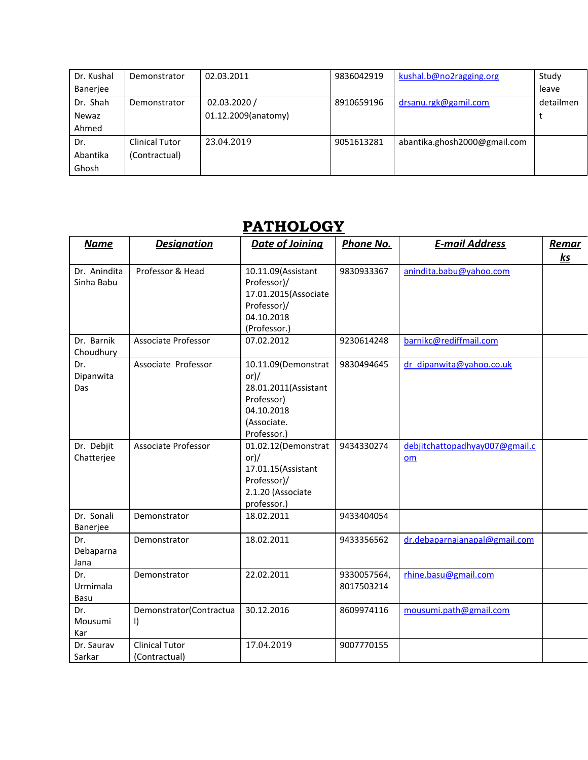| Dr. Kushal | Demonstrator          | 02.03.2011          | 9836042919 | kushal.b@no2ragging.org      | Study     |
|------------|-----------------------|---------------------|------------|------------------------------|-----------|
| Banerjee   |                       |                     |            |                              | leave     |
| Dr. Shah   | Demonstrator          | 02.03.2020/         | 8910659196 | drsanu.rgk@gamil.com         | detailmen |
| Newaz      |                       | 01.12.2009(anatomy) |            |                              |           |
| Ahmed      |                       |                     |            |                              |           |
| Dr.        | <b>Clinical Tutor</b> | 23.04.2019          | 9051613281 | abantika.ghosh2000@gmail.com |           |
| Abantika   | (Contractual)         |                     |            |                              |           |
| Ghosh      |                       |                     |            |                              |           |

## PATHOLOGY

| <b>Name</b>                | <b>Designation</b>                     | Date of Joining                                                                                                  | <b>Phone No.</b>          | <b>E-mail Address</b>                | Remar     |
|----------------------------|----------------------------------------|------------------------------------------------------------------------------------------------------------------|---------------------------|--------------------------------------|-----------|
|                            |                                        |                                                                                                                  |                           |                                      | <u>ks</u> |
| Dr. Anindita<br>Sinha Babu | Professor & Head                       | 10.11.09(Assistant<br>Professor)/<br>17.01.2015(Associate<br>Professor)/<br>04.10.2018<br>(Professor.)           | 9830933367                | anindita.babu@yahoo.com              |           |
| Dr. Barnik<br>Choudhury    | Associate Professor                    | 07.02.2012                                                                                                       | 9230614248                | barnikc@rediffmail.com               |           |
| Dr.<br>Dipanwita<br>Das    | Associate Professor                    | 10.11.09(Demonstrat<br>$or$ )/<br>28.01.2011(Assistant<br>Professor)<br>04.10.2018<br>(Associate.<br>Professor.) | 9830494645                | dr dipanwita@yahoo.co.uk             |           |
| Dr. Debjit<br>Chatterjee   | <b>Associate Professor</b>             | 01.02.12(Demonstrat<br>$or$ )/<br>17.01.15(Assistant<br>Professor)/<br>2.1.20 (Associate<br>professor.)          | 9434330274                | debjitchattopadhyay007@gmail.c<br>om |           |
| Dr. Sonali<br>Banerjee     | Demonstrator                           | 18.02.2011                                                                                                       | 9433404054                |                                      |           |
| Dr.<br>Debaparna<br>Jana   | Demonstrator                           | 18.02.2011                                                                                                       | 9433356562                | dr.debaparnajanapal@gmail.com        |           |
| Dr.<br>Urmimala<br>Basu    | Demonstrator                           | 22.02.2011                                                                                                       | 9330057564,<br>8017503214 | rhine.basu@gmail.com                 |           |
| Dr.<br>Mousumi<br>Kar      | Demonstrator(Contractua<br>$\vert$     | 30.12.2016                                                                                                       | 8609974116                | mousumi.path@gmail.com               |           |
| Dr. Saurav<br>Sarkar       | <b>Clinical Tutor</b><br>(Contractual) | 17.04.2019                                                                                                       | 9007770155                |                                      |           |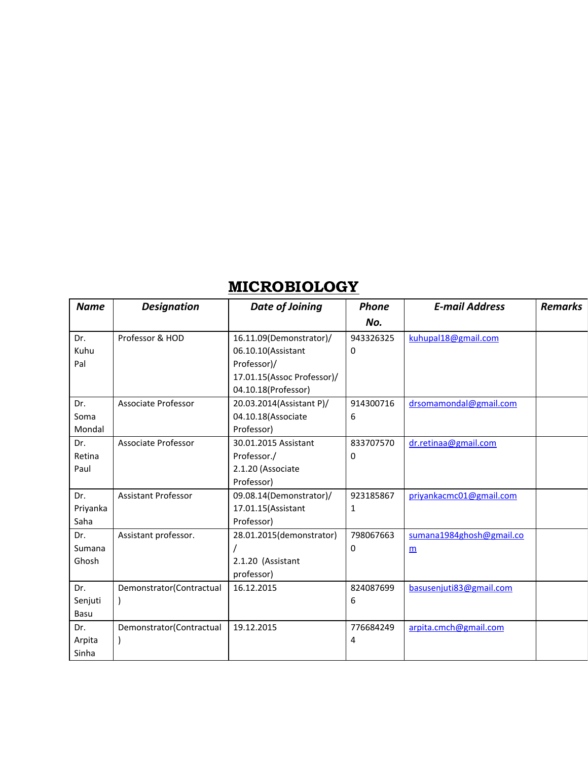## **MICROBIOLOGY**

| <b>Name</b> | <b>Designation</b>       | <b>Date of Joining</b>     | <b>Phone</b> | <b>E-mail Address</b>    | <b>Remarks</b> |
|-------------|--------------------------|----------------------------|--------------|--------------------------|----------------|
|             |                          |                            | No.          |                          |                |
| Dr.         | Professor & HOD          | 16.11.09(Demonstrator)/    | 943326325    | kuhupal18@gmail.com      |                |
| Kuhu        |                          | 06.10.10(Assistant         | 0            |                          |                |
| Pal         |                          | Professor)/                |              |                          |                |
|             |                          | 17.01.15(Assoc Professor)/ |              |                          |                |
|             |                          | 04.10.18(Professor)        |              |                          |                |
| Dr.         | Associate Professor      | 20.03.2014(Assistant P)/   | 914300716    | drsomamondal@gmail.com   |                |
| Soma        |                          | 04.10.18(Associate         | 6            |                          |                |
| Mondal      |                          | Professor)                 |              |                          |                |
| Dr.         | Associate Professor      | 30.01.2015 Assistant       | 833707570    | dr.retinaa@gmail.com     |                |
| Retina      |                          | Professor./                | 0            |                          |                |
| Paul        |                          | 2.1.20 (Associate          |              |                          |                |
|             |                          | Professor)                 |              |                          |                |
| Dr.         | Assistant Professor      | 09.08.14(Demonstrator)/    | 923185867    | priyankacmc01@gmail.com  |                |
| Priyanka    |                          | 17.01.15(Assistant         | 1            |                          |                |
| Saha        |                          | Professor)                 |              |                          |                |
| Dr.         | Assistant professor.     | 28.01.2015(demonstrator)   | 798067663    | sumana1984ghosh@gmail.co |                |
| Sumana      |                          |                            | 0            | m                        |                |
| Ghosh       |                          | 2.1.20 (Assistant          |              |                          |                |
|             |                          | professor)                 |              |                          |                |
| Dr.         | Demonstrator(Contractual | 16.12.2015                 | 824087699    | basusenjuti83@gmail.com  |                |
| Senjuti     |                          |                            | 6            |                          |                |
| Basu        |                          |                            |              |                          |                |
| Dr.         | Demonstrator(Contractual | 19.12.2015                 | 776684249    | arpita.cmch@gmail.com    |                |
| Arpita      |                          |                            | 4            |                          |                |
| Sinha       |                          |                            |              |                          |                |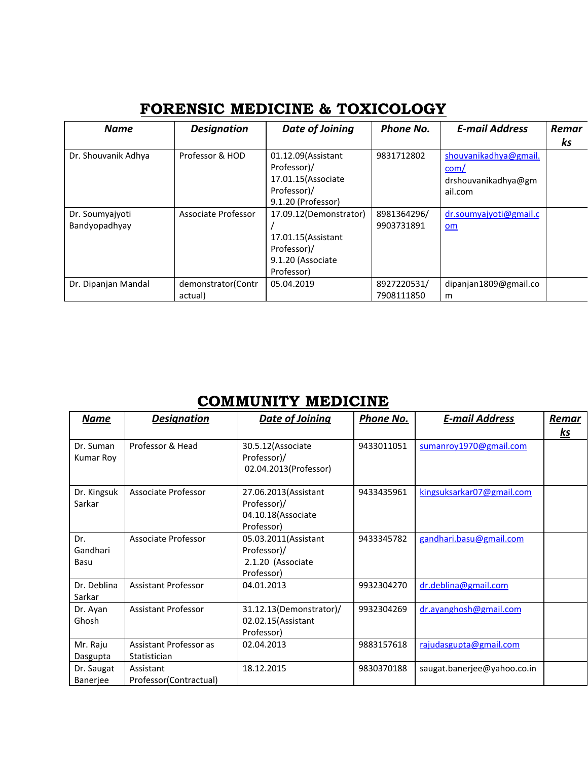| <b>FORENSIC MEDICINE &amp; TOXICOLOGY</b> |                    |                 |           |                       |       |  |  |  |  |
|-------------------------------------------|--------------------|-----------------|-----------|-----------------------|-------|--|--|--|--|
| Name                                      | <b>Designation</b> | Date of Joining | Phone No. | <b>E-mail Address</b> | Remar |  |  |  |  |

| <b>Name</b>                      | <b>Designation</b>            | Date of Joining                                                                                 | Phone No.                 | <b>E-mail Address</b>                                           | Remar<br>ks |
|----------------------------------|-------------------------------|-------------------------------------------------------------------------------------------------|---------------------------|-----------------------------------------------------------------|-------------|
| Dr. Shouvanik Adhya              | Professor & HOD               | 01.12.09(Assistant<br>Professor)/<br>17.01.15 (Associate<br>Professor)/<br>9.1.20 (Professor)   | 9831712802                | shouvanikadhya@gmail.<br>com/<br>drshouvanikadhya@gm<br>ail.com |             |
| Dr. Soumyajyoti<br>Bandyopadhyay | Associate Professor           | 17.09.12(Demonstrator)<br>17.01.15 (Assistant<br>Professor)/<br>9.1.20 (Associate<br>Professor) | 8981364296/<br>9903731891 | dr.soumyajyoti@gmail.c<br>om                                    |             |
| Dr. Dipanjan Mandal              | demonstrator(Contr<br>actual) | 05.04.2019                                                                                      | 8927220531/<br>7908111850 | dipanjan1809@gmail.co<br>m                                      |             |

# COMMUNITY MEDICINE

| <b>Name</b>             | <b>Designation</b>                     | Date of Joining                                                         | <b>Phone No.</b> | <b>E-mail Address</b>       | Remar<br><u>ks</u> |
|-------------------------|----------------------------------------|-------------------------------------------------------------------------|------------------|-----------------------------|--------------------|
| Dr. Suman<br>Kumar Roy  | Professor & Head                       | 30.5.12 (Associate<br>Professor)/<br>02.04.2013(Professor)              | 9433011051       | sumanroy1970@gmail.com      |                    |
| Dr. Kingsuk<br>Sarkar   | Associate Professor                    | 27.06.2013(Assistant<br>Professor)/<br>04.10.18(Associate<br>Professor) | 9433435961       | kingsuksarkar07@gmail.com   |                    |
| Dr.<br>Gandhari<br>Basu | Associate Professor                    | 05.03.2011(Assistant<br>Professor)/<br>2.1.20 (Associate<br>Professor)  | 9433345782       | gandhari.basu@gmail.com     |                    |
| Dr. Deblina<br>Sarkar   | <b>Assistant Professor</b>             | 04.01.2013                                                              | 9932304270       | dr.deblina@gmail.com        |                    |
| Dr. Ayan<br>Ghosh       | <b>Assistant Professor</b>             | 31.12.13(Demonstrator)/<br>02.02.15(Assistant<br>Professor)             | 9932304269       | dr.ayanghosh@gmail.com      |                    |
| Mr. Raju<br>Dasgupta    | Assistant Professor as<br>Statistician | 02.04.2013                                                              | 9883157618       | rajudasgupta@gmail.com      |                    |
| Dr. Saugat<br>Banerjee  | Assistant<br>Professor(Contractual)    | 18.12.2015                                                              | 9830370188       | saugat.banerjee@yahoo.co.in |                    |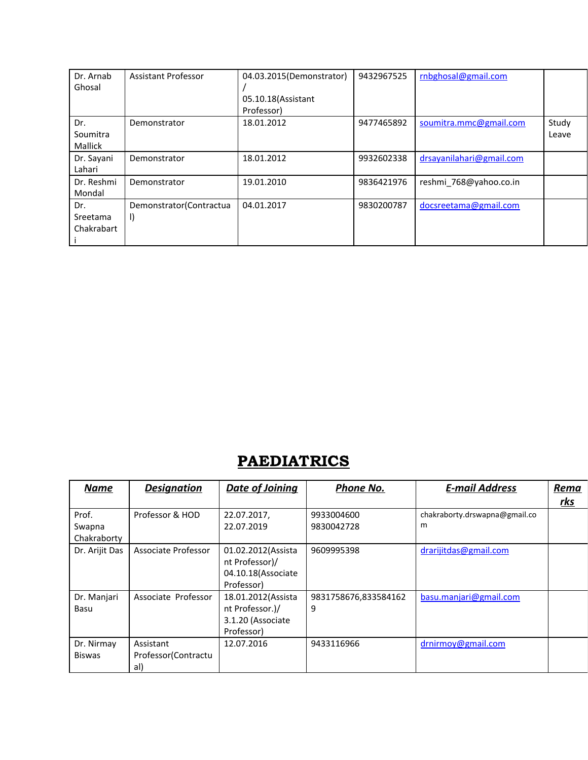| Dr. Arnab<br>Ghosal               | Assistant Professor                 | 04.03.2015(Demonstrator)<br>05.10.18 (Assistant<br>Professor) | 9432967525 | rnbghosal@gmail.com      |                |
|-----------------------------------|-------------------------------------|---------------------------------------------------------------|------------|--------------------------|----------------|
| Dr.<br>Soumitra<br><b>Mallick</b> | Demonstrator                        | 18.01.2012                                                    | 9477465892 | soumitra.mmc@gmail.com   | Study<br>Leave |
| Dr. Sayani<br>Lahari              | Demonstrator                        | 18.01.2012                                                    | 9932602338 | drsayanilahari@gmail.com |                |
| Dr. Reshmi<br>Mondal              | Demonstrator                        | 19.01.2010                                                    | 9836421976 | reshmi 768@yahoo.co.in   |                |
| Dr.<br>Sreetama<br>Chakrabart     | Demonstrator (Contractua<br>$\vert$ | 04.01.2017                                                    | 9830200787 | docsreetama@gmail.com    |                |

# **PAEDIATRICS**

| <b>Name</b>                    | <b>Designation</b>                       | <b>Date of Joining</b>                                                   | Phone No.                 | <b>E-mail Address</b>              | Rema       |
|--------------------------------|------------------------------------------|--------------------------------------------------------------------------|---------------------------|------------------------------------|------------|
|                                |                                          |                                                                          |                           |                                    | <u>rks</u> |
| Prof.<br>Swapna<br>Chakraborty | Professor & HOD                          | 22.07.2017,<br>22.07.2019                                                | 9933004600<br>9830042728  | chakraborty.drswapna@gmail.co<br>m |            |
| Dr. Arijit Das                 | Associate Professor                      | 01.02.2012(Assista<br>nt Professor)/<br>04.10.18(Associate<br>Professor) | 9609995398                | drarijitdas@gmail.com              |            |
| Dr. Manjari<br>Basu            | Associate Professor                      | 18.01.2012(Assista<br>nt Professor.)/<br>3.1.20 (Associate<br>Professor) | 9831758676,833584162<br>9 | basu.manjari@gmail.com             |            |
| Dr. Nirmay<br><b>Biswas</b>    | Assistant<br>Professor (Contractu<br>al) | 12.07.2016                                                               | 9433116966                | drnirmov@gmail.com                 |            |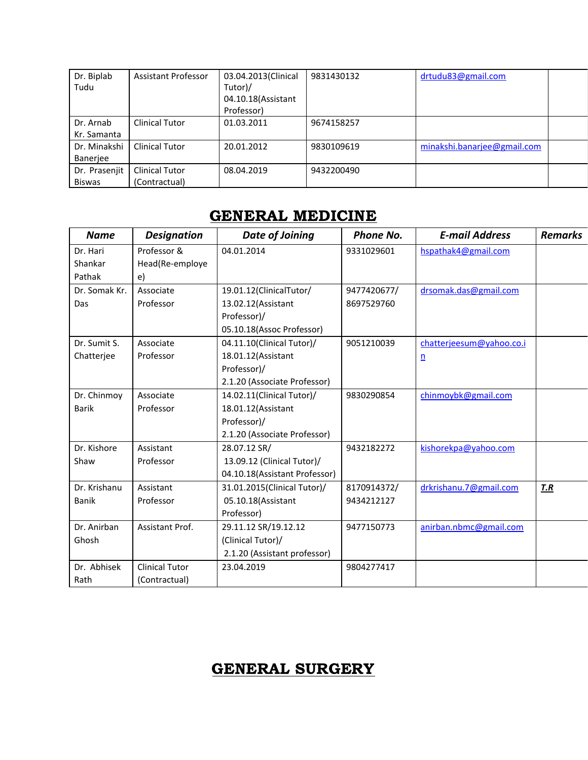| Dr. Biplab    | Assistant Professor   | 03.04.2013(Clinical | 9831430132 | drtudu83@gmail.com          |  |
|---------------|-----------------------|---------------------|------------|-----------------------------|--|
| Tudu          |                       | Tutor)/             |            |                             |  |
|               |                       | 04.10.18(Assistant  |            |                             |  |
|               |                       | Professor)          |            |                             |  |
| Dr. Arnab     | Clinical Tutor        | 01.03.2011          | 9674158257 |                             |  |
| Kr. Samanta   |                       |                     |            |                             |  |
| Dr. Minakshi  | <b>Clinical Tutor</b> | 20.01.2012          | 9830109619 | minakshi.banarjee@gmail.com |  |
| Banerjee      |                       |                     |            |                             |  |
| Dr. Prasenjit | <b>Clinical Tutor</b> | 08.04.2019          | 9432200490 |                             |  |
| <b>Biswas</b> | (Contractual)         |                     |            |                             |  |

### GENERAL MEDICINE

| <b>Name</b>   | <b>Designation</b>    | Date of Joining               | <b>Phone No.</b> | <b>E-mail Address</b>    | <b>Remarks</b> |
|---------------|-----------------------|-------------------------------|------------------|--------------------------|----------------|
| Dr. Hari      | Professor &           | 04.01.2014                    | 9331029601       | hspathak4@gmail.com      |                |
| Shankar       | Head(Re-employe       |                               |                  |                          |                |
| Pathak        | e)                    |                               |                  |                          |                |
| Dr. Somak Kr. | Associate             | 19.01.12(ClinicalTutor/       | 9477420677/      | drsomak.das@gmail.com    |                |
| Das           | Professor             | 13.02.12 (Assistant           | 8697529760       |                          |                |
|               |                       | Professor)/                   |                  |                          |                |
|               |                       | 05.10.18(Assoc Professor)     |                  |                          |                |
| Dr. Sumit S.  | Associate             | 04.11.10(Clinical Tutor)/     | 9051210039       | chatterjeesum@yahoo.co.i |                |
| Chatteriee    | Professor             | 18.01.12 (Assistant           |                  | n                        |                |
|               |                       | Professor)/                   |                  |                          |                |
|               |                       | 2.1.20 (Associate Professor)  |                  |                          |                |
| Dr. Chinmoy   | Associate             | 14.02.11(Clinical Tutor)/     | 9830290854       | chinmoybk@gmail.com      |                |
| <b>Barik</b>  | Professor             | 18.01.12 (Assistant           |                  |                          |                |
|               |                       | Professor)/                   |                  |                          |                |
|               |                       | 2.1.20 (Associate Professor)  |                  |                          |                |
| Dr. Kishore   | Assistant             | 28.07.12 SR/                  | 9432182272       | kishorekpa@yahoo.com     |                |
| Shaw          | Professor             | 13.09.12 (Clinical Tutor)/    |                  |                          |                |
|               |                       | 04.10.18(Assistant Professor) |                  |                          |                |
| Dr. Krishanu  | Assistant             | 31.01.2015(Clinical Tutor)/   | 8170914372/      | drkrishanu.7@gmail.com   | <b>T.R</b>     |
| <b>Banik</b>  | Professor             | 05.10.18(Assistant            | 9434212127       |                          |                |
|               |                       | Professor)                    |                  |                          |                |
| Dr. Anirban   | Assistant Prof.       | 29.11.12 SR/19.12.12          | 9477150773       | anirban.nbmc@gmail.com   |                |
| Ghosh         |                       | (Clinical Tutor)/             |                  |                          |                |
|               |                       | 2.1.20 (Assistant professor)  |                  |                          |                |
| Dr. Abhisek   | <b>Clinical Tutor</b> | 23.04.2019                    | 9804277417       |                          |                |
| Rath          | (Contractual)         |                               |                  |                          |                |

# GENERAL SURGERY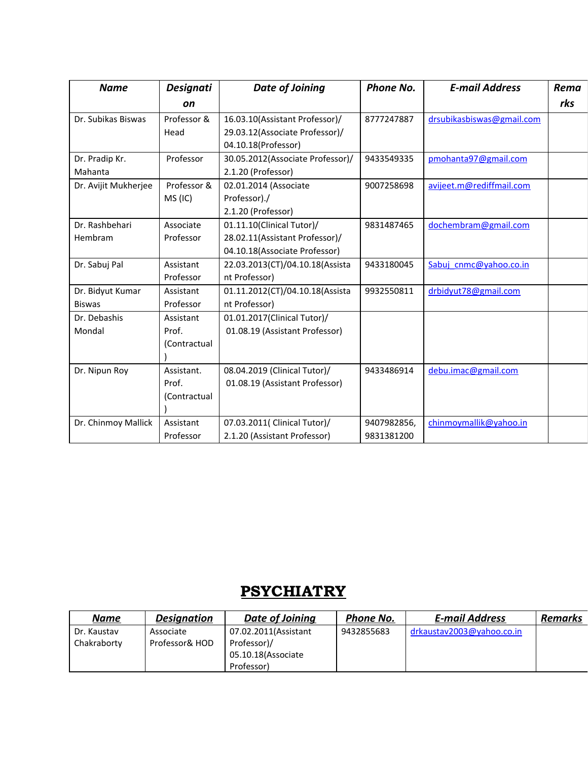| <b>Name</b>          | <b>Designati</b> | <b>Date of Joining</b>           | <b>Phone No.</b> | <b>E-mail Address</b>     | Rema |
|----------------------|------------------|----------------------------------|------------------|---------------------------|------|
|                      | <b>on</b>        |                                  |                  |                           | rks  |
| Dr. Subikas Biswas   | Professor &      | 16.03.10(Assistant Professor)/   | 8777247887       | drsubikasbiswas@gmail.com |      |
|                      | Head             | 29.03.12(Associate Professor)/   |                  |                           |      |
|                      |                  | 04.10.18(Professor)              |                  |                           |      |
| Dr. Pradip Kr.       | Professor        | 30.05.2012(Associate Professor)/ | 9433549335       | pmohanta97@gmail.com      |      |
| Mahanta              |                  | 2.1.20 (Professor)               |                  |                           |      |
| Dr. Avijit Mukherjee | Professor &      | 02.01.2014 (Associate            | 9007258698       | avijeet.m@rediffmail.com  |      |
|                      | MS (IC)          | Professor)./                     |                  |                           |      |
|                      |                  | 2.1.20 (Professor)               |                  |                           |      |
| Dr. Rashbehari       | Associate        | 01.11.10(Clinical Tutor)/        | 9831487465       | dochembram@gmail.com      |      |
| Hembram              | Professor        | 28.02.11(Assistant Professor)/   |                  |                           |      |
|                      |                  | 04.10.18(Associate Professor)    |                  |                           |      |
| Dr. Sabuj Pal        | Assistant        | 22.03.2013(CT)/04.10.18(Assista  | 9433180045       | Sabuj cnmc@yahoo.co.in    |      |
|                      | Professor        | nt Professor)                    |                  |                           |      |
| Dr. Bidyut Kumar     | Assistant        | 01.11.2012(CT)/04.10.18(Assista  | 9932550811       | drbidyut78@gmail.com      |      |
| <b>Biswas</b>        | Professor        | nt Professor)                    |                  |                           |      |
| Dr. Debashis         | Assistant        | 01.01.2017(Clinical Tutor)/      |                  |                           |      |
| Mondal               | Prof.            | 01.08.19 (Assistant Professor)   |                  |                           |      |
|                      | (Contractual     |                                  |                  |                           |      |
|                      |                  |                                  |                  |                           |      |
| Dr. Nipun Roy        | Assistant.       | 08.04.2019 (Clinical Tutor)/     | 9433486914       | debu.imac@gmail.com       |      |
|                      | Prof.            | 01.08.19 (Assistant Professor)   |                  |                           |      |
|                      | (Contractual     |                                  |                  |                           |      |
|                      |                  |                                  |                  |                           |      |
| Dr. Chinmoy Mallick  | Assistant        | 07.03.2011( Clinical Tutor)/     | 9407982856,      | chinmoymallik@yahoo.in    |      |
|                      | Professor        | 2.1.20 (Assistant Professor)     | 9831381200       |                           |      |

## **PSYCHIATRY**

| <b>Name</b> | <b>Designation</b> | Date of Joining      | Phone No.  | <b>E-mail Address</b>     | <b>Remarks</b> |
|-------------|--------------------|----------------------|------------|---------------------------|----------------|
| Dr. Kaustav | Associate          | 07.02.2011(Assistant | 9432855683 | drkaustav2003@yahoo.co.in |                |
| Chakraborty | Professor& HOD     | Professor)/          |            |                           |                |
|             |                    | 05.10.18 (Associate  |            |                           |                |
|             |                    | Professor)           |            |                           |                |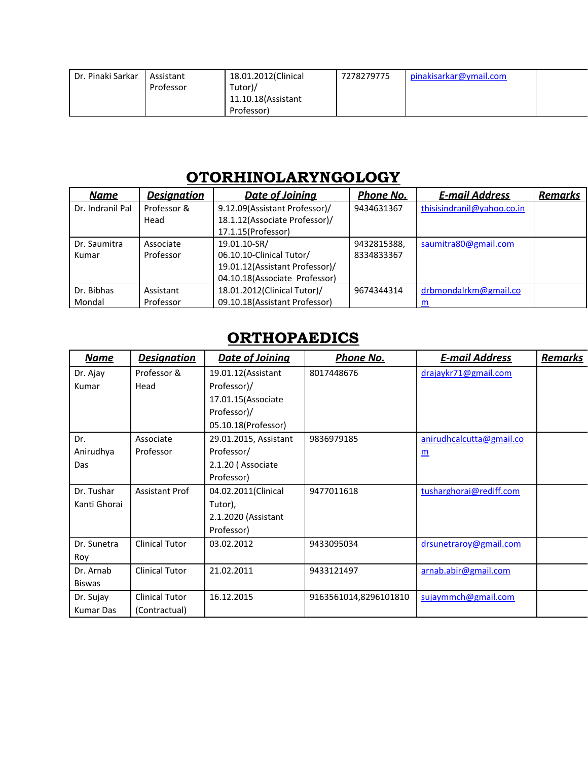| Dr. Pinaki Sarkar | Assistant | 18.01.2012(Clinical | 7278279775 | pinakisarkar@ymail.com |  |
|-------------------|-----------|---------------------|------------|------------------------|--|
|                   | Professor | Tutor)/             |            |                        |  |
|                   |           | 11.10.18 (Assistant |            |                        |  |
|                   |           | Professor)          |            |                        |  |

## OTORHINOLARYNGOLOGY

| <b>Name</b>      | <b>Designation</b> | <b>Date of Joining</b>         | Phone No.   | <b>E-mail Address</b>      | <b>Remarks</b> |
|------------------|--------------------|--------------------------------|-------------|----------------------------|----------------|
| Dr. Indranil Pal | Professor &        | 9.12.09(Assistant Professor)/  | 9434631367  | thisisindranil@yahoo.co.in |                |
|                  | Head               | 18.1.12(Associate Professor)/  |             |                            |                |
|                  |                    | 17.1.15(Professor)             |             |                            |                |
| Dr. Saumitra     | Associate          | 19.01.10-SR/                   | 9432815388, | saumitra80@gmail.com       |                |
| Kumar            | Professor          | 06.10.10-Clinical Tutor/       | 8334833367  |                            |                |
|                  |                    | 19.01.12(Assistant Professor)/ |             |                            |                |
|                  |                    | 04.10.18(Associate Professor)  |             |                            |                |
| Dr. Bibhas       | Assistant          | 18.01.2012(Clinical Tutor)/    | 9674344314  | drbmondalrkm@gmail.co      |                |
| Mondal           | Professor          | 09.10.18(Assistant Professor)  |             | m                          |                |

# **ORTHOPAEDICS**

| <b>Name</b>   | <b>Designation</b>    | Date of Joining       | <u>Phone No.</u>      | <b>E-mail Address</b>    | <b>Remarks</b> |
|---------------|-----------------------|-----------------------|-----------------------|--------------------------|----------------|
| Dr. Ajay      | Professor &           | 19.01.12 (Assistant   | 8017448676            | drajaykr71@gmail.com     |                |
| Kumar         | Head                  | Professor)/           |                       |                          |                |
|               |                       | 17.01.15(Associate    |                       |                          |                |
|               |                       | Professor)/           |                       |                          |                |
|               |                       | 05.10.18(Professor)   |                       |                          |                |
| Dr.           | Associate             | 29.01.2015, Assistant | 9836979185            | anirudhcalcutta@gmail.co |                |
| Anirudhya     | Professor             | Professor/            |                       | $\underline{m}$          |                |
| Das           |                       | 2.1.20 (Associate     |                       |                          |                |
|               |                       | Professor)            |                       |                          |                |
| Dr. Tushar    | <b>Assistant Prof</b> | 04.02.2011(Clinical   | 9477011618            | tusharghorai@rediff.com  |                |
| Kanti Ghorai  |                       | Tutor),               |                       |                          |                |
|               |                       | 2.1.2020 (Assistant   |                       |                          |                |
|               |                       | Professor)            |                       |                          |                |
| Dr. Sunetra   | <b>Clinical Tutor</b> | 03.02.2012            | 9433095034            | drsunetraroy@gmail.com   |                |
| Roy           |                       |                       |                       |                          |                |
| Dr. Arnab     | <b>Clinical Tutor</b> | 21.02.2011            | 9433121497            | arnab.abir@gmail.com     |                |
| <b>Biswas</b> |                       |                       |                       |                          |                |
| Dr. Sujay     | <b>Clinical Tutor</b> | 16.12.2015            | 9163561014,8296101810 | sujaymmch@gmail.com      |                |
| Kumar Das     | (Contractual)         |                       |                       |                          |                |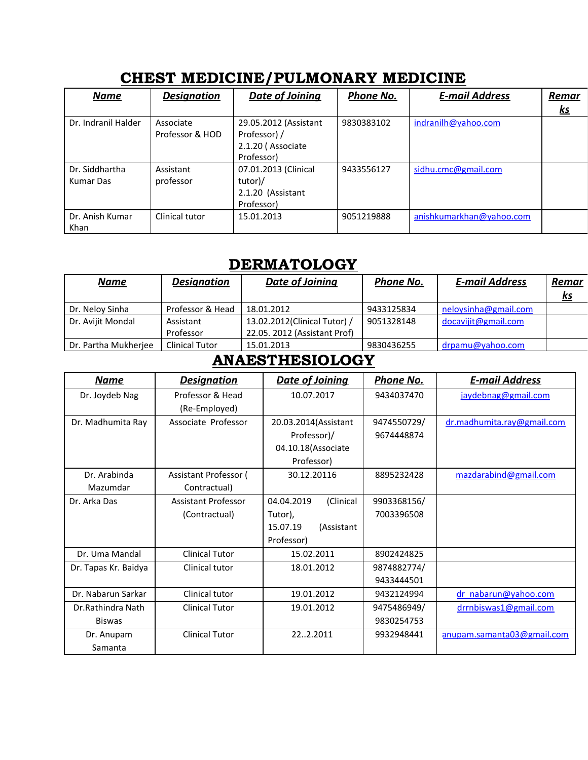| <b>Name</b>                 | <b>Designation</b>           | <b>Date of Joining</b>                                                   | Phone No.                         | <b>E-mail Address</b>    | <u>Remar</u> |
|-----------------------------|------------------------------|--------------------------------------------------------------------------|-----------------------------------|--------------------------|--------------|
|                             |                              |                                                                          |                                   |                          | <u>ks</u>    |
| Dr. Indranil Halder         | Associate<br>Professor & HOD | 29.05.2012 (Assistant<br>Professor) /<br>2.1.20 (Associate<br>Professor) | 9830383102                        | indranilh@yahoo.com      |              |
| Dr. Siddhartha<br>Kumar Das | Assistant<br>professor       | 07.01.2013 (Clinical<br>tutor)/<br>2.1.20 (Assistant<br>Professor)       | 9433556127<br>sidhu.cmc@gmail.com |                          |              |
| Dr. Anish Kumar<br>Khan     | Clinical tutor               | 15.01.2013                                                               | 9051219888                        | anishkumarkhan@yahoo.com |              |

### CHEST MEDICINE/PULMONARY MEDICINE

## **DERMATOLOGY**

| <b>Name</b>          | <b>Designation</b>    | <b>Date of Joining</b>       | Phone No.  | <b>E-mail Address</b> | Remar<br><u>ks</u> |
|----------------------|-----------------------|------------------------------|------------|-----------------------|--------------------|
| Dr. Neloy Sinha      | Professor & Head      | 18.01.2012                   | 9433125834 | neloysinha@gmail.com  |                    |
| Dr. Avijit Mondal    | Assistant             | 13.02.2012(Clinical Tutor) / | 9051328148 | docavijit@gmail.com   |                    |
|                      | Professor             | 22.05. 2012 (Assistant Prof) |            |                       |                    |
| Dr. Partha Mukherjee | <b>Clinical Tutor</b> | 15.01.2013                   | 9830436255 | $dr$ pamu@yahoo.com   |                    |

## ANAESTHESIOLOGY

| Name                 | <b>Designation</b>    | <b>Date of Joining</b>  | Phone No.   | <b>E-mail Address</b>      |
|----------------------|-----------------------|-------------------------|-------------|----------------------------|
| Dr. Joydeb Nag       | Professor & Head      | 10.07.2017              | 9434037470  | jaydebnag@gmail.com        |
|                      | (Re-Employed)         |                         |             |                            |
| Dr. Madhumita Ray    | Associate Professor   | 20.03.2014(Assistant    | 9474550729/ | dr.madhumita.ray@gmail.com |
|                      |                       | Professor)/             | 9674448874  |                            |
|                      |                       | 04.10.18(Associate      |             |                            |
|                      |                       | Professor)              |             |                            |
| Dr. Arabinda         | Assistant Professor ( | 30.12.20116             | 8895232428  | mazdarabind@gmail.com      |
| Mazumdar             | Contractual)          |                         |             |                            |
| Dr. Arka Das         | Assistant Professor   | (Clinical<br>04.04.2019 | 9903368156/ |                            |
|                      | (Contractual)         | Tutor),                 | 7003396508  |                            |
|                      |                       | 15.07.19<br>(Assistant  |             |                            |
|                      |                       | Professor)              |             |                            |
| Dr. Uma Mandal       | <b>Clinical Tutor</b> | 15.02.2011              | 8902424825  |                            |
| Dr. Tapas Kr. Baidya | Clinical tutor        | 18.01.2012              | 9874882774/ |                            |
|                      |                       |                         | 9433444501  |                            |
| Dr. Nabarun Sarkar   | Clinical tutor        | 19.01.2012              | 9432124994  | dr nabarun@yahoo.com       |
| Dr.Rathindra Nath    | <b>Clinical Tutor</b> | 19.01.2012              | 9475486949/ | drrnbiswas1@gmail.com      |
| <b>Biswas</b>        |                       |                         | 9830254753  |                            |
| Dr. Anupam           | <b>Clinical Tutor</b> | 222.2011                | 9932948441  | anupam.samanta03@gmail.com |
| Samanta              |                       |                         |             |                            |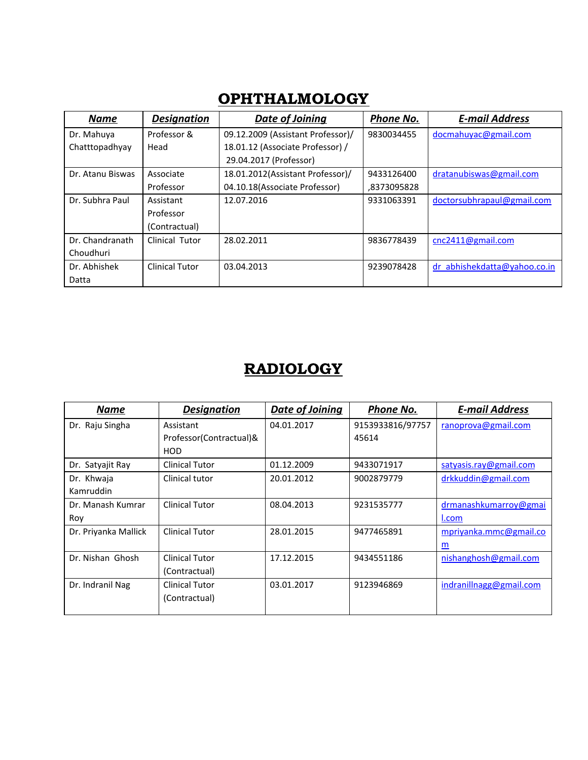| <b>Name</b>      | <b>Designation</b> | Date of Joining                   | Phone No.   | <b>E-mail Address</b>        |
|------------------|--------------------|-----------------------------------|-------------|------------------------------|
| Dr. Mahuya       | Professor &        | 09.12.2009 (Assistant Professor)/ | 9830034455  | docmahuyac@gmail.com         |
| Chatttopadhyay   | Head               | 18.01.12 (Associate Professor) /  |             |                              |
|                  |                    | 29.04.2017 (Professor)            |             |                              |
| Dr. Atanu Biswas | Associate          | 18.01.2012(Assistant Professor)/  | 9433126400  | dratanubiswas@gmail.com      |
|                  | Professor          | 04.10.18(Associate Professor)     | ,8373095828 |                              |
| Dr. Subhra Paul  | Assistant          | 12.07.2016                        | 9331063391  | doctorsubhrapaul@gmail.com   |
|                  | Professor          |                                   |             |                              |
|                  | (Contractual)      |                                   |             |                              |
| Dr. Chandranath  | Clinical Tutor     | 28.02.2011                        | 9836778439  | cnc2411@gmail.com            |
| Choudhuri        |                    |                                   |             |                              |
| Dr. Abhishek     | Clinical Tutor     | 03.04.2013                        | 9239078428  | dr abhishekdatta@yahoo.co.in |
| Datta            |                    |                                   |             |                              |

## **OPHTHALMOLOGY**

## RADIOLOGY

| <b>Name</b>          | <b>Designation</b>      | Date of Joining | <b>Phone No.</b> | <b>E-mail Address</b>   |
|----------------------|-------------------------|-----------------|------------------|-------------------------|
| Dr. Raju Singha      | Assistant               | 04.01.2017      | 9153933816/97757 | ranoprova@gmail.com     |
|                      | Professor(Contractual)& |                 | 45614            |                         |
|                      | HOD                     |                 |                  |                         |
| Dr. Satyajit Ray     | <b>Clinical Tutor</b>   | 01.12.2009      | 9433071917       | satyasis.ray@gmail.com  |
| Dr. Khwaja           | Clinical tutor          | 20.01.2012      | 9002879779       | drkkuddin@gmail.com     |
| Kamruddin            |                         |                 |                  |                         |
| Dr. Manash Kumrar    | <b>Clinical Tutor</b>   | 08.04.2013      | 9231535777       | drmanashkumarroy@gmai   |
| Roy                  |                         |                 |                  | I.com                   |
| Dr. Priyanka Mallick | <b>Clinical Tutor</b>   | 28.01.2015      | 9477465891       | mpriyanka.mmc@gmail.co  |
|                      |                         |                 |                  | m                       |
| Dr. Nishan Ghosh     | <b>Clinical Tutor</b>   | 17.12.2015      | 9434551186       | nishanghosh@gmail.com   |
|                      | (Contractual)           |                 |                  |                         |
| Dr. Indranil Nag     | <b>Clinical Tutor</b>   | 03.01.2017      | 9123946869       | indranillnagg@gmail.com |
|                      | (Contractual)           |                 |                  |                         |
|                      |                         |                 |                  |                         |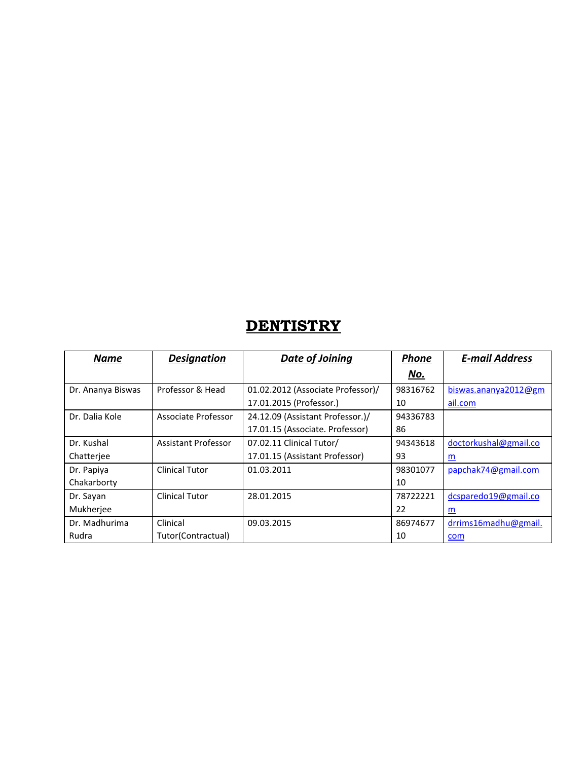## **DENTISTRY**

| <b>Name</b>       | <b>Designation</b>    | <b>Date of Joining</b>            | <b>Phone</b> | <b>E-mail Address</b>    |
|-------------------|-----------------------|-----------------------------------|--------------|--------------------------|
|                   |                       |                                   | No.          |                          |
| Dr. Ananya Biswas | Professor & Head      | 01.02.2012 (Associate Professor)/ | 98316762     | biswas.ananya2012@gm     |
|                   |                       | 17.01.2015 (Professor.)           | 10           | ail.com                  |
| Dr. Dalia Kole    | Associate Professor   | 24.12.09 (Assistant Professor.)/  | 94336783     |                          |
|                   |                       | 17.01.15 (Associate. Professor)   | 86           |                          |
| Dr. Kushal        | Assistant Professor   | 07.02.11 Clinical Tutor/          | 94343618     | doctorkushal@gmail.co    |
| Chatteriee        |                       | 17.01.15 (Assistant Professor)    | 93           | $\underline{\mathbf{m}}$ |
| Dr. Papiya        | <b>Clinical Tutor</b> | 01.03.2011                        | 98301077     | papchak74@gmail.com      |
| Chakarborty       |                       |                                   | 10           |                          |
| Dr. Sayan         | <b>Clinical Tutor</b> | 28.01.2015                        | 78722221     | dcsparedo19@gmail.co     |
| Mukherjee         |                       |                                   | 22           | m                        |
| Dr. Madhurima     | Clinical              | 09.03.2015                        | 86974677     | drrims16madhu@gmail.     |
| Rudra             | Tutor(Contractual)    |                                   | 10           | com                      |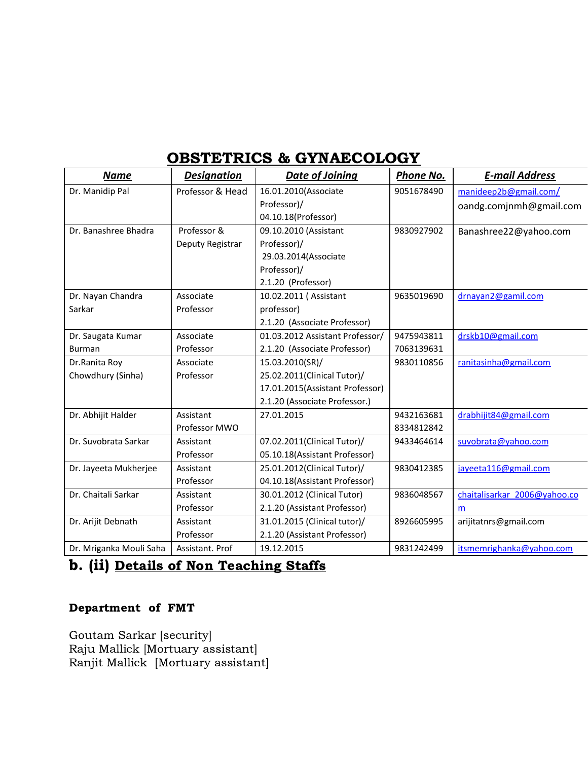### OBSTETRICS & GYNAECOLOGY

| <b>Name</b>             | <b>Designation</b> | <b>Date of Joining</b>          | Phone No.  | <b>E-mail Address</b>        |
|-------------------------|--------------------|---------------------------------|------------|------------------------------|
| Dr. Manidip Pal         | Professor & Head   | 16.01.2010(Associate            | 9051678490 | manideep2b@gmail.com/        |
|                         |                    | Professor)/                     |            | oandg.comjnmh@gmail.com      |
|                         |                    | 04.10.18(Professor)             |            |                              |
| Dr. Banashree Bhadra    | Professor &        | 09.10.2010 (Assistant           | 9830927902 | Banashree22@yahoo.com        |
|                         | Deputy Registrar   | Professor)/                     |            |                              |
|                         |                    | 29.03.2014(Associate            |            |                              |
|                         |                    | Professor)/                     |            |                              |
|                         |                    | 2.1.20 (Professor)              |            |                              |
| Dr. Nayan Chandra       | Associate          | 10.02.2011 (Assistant           | 9635019690 | drnayan2@gamil.com           |
| Sarkar                  | Professor          | professor)                      |            |                              |
|                         |                    | 2.1.20 (Associate Professor)    |            |                              |
| Dr. Saugata Kumar       | Associate          | 01.03.2012 Assistant Professor/ | 9475943811 | drskb10@gmail.com            |
| <b>Burman</b>           | Professor          | 2.1.20 (Associate Professor)    | 7063139631 |                              |
| Dr.Ranita Roy           | Associate          | 15.03.2010(SR)/                 | 9830110856 | ranitasinha@gmail.com        |
| Chowdhury (Sinha)       | Professor          | 25.02.2011(Clinical Tutor)/     |            |                              |
|                         |                    | 17.01.2015(Assistant Professor) |            |                              |
|                         |                    | 2.1.20 (Associate Professor.)   |            |                              |
| Dr. Abhijit Halder      | Assistant          | 27.01.2015                      | 9432163681 | drabhijit84@gmail.com        |
|                         | Professor MWO      |                                 | 8334812842 |                              |
| Dr. Suvobrata Sarkar    | Assistant          | 07.02.2011(Clinical Tutor)/     | 9433464614 | suvobrata@yahoo.com          |
|                         | Professor          | 05.10.18(Assistant Professor)   |            |                              |
| Dr. Jayeeta Mukherjee   | Assistant          | 25.01.2012(Clinical Tutor)/     | 9830412385 | jayeeta116@gmail.com         |
|                         | Professor          | 04.10.18(Assistant Professor)   |            |                              |
| Dr. Chaitali Sarkar     | Assistant          | 30.01.2012 (Clinical Tutor)     | 9836048567 | chaitalisarkar 2006@yahoo.co |
|                         | Professor          | 2.1.20 (Assistant Professor)    |            | m                            |
| Dr. Arijit Debnath      | Assistant          | 31.01.2015 (Clinical tutor)/    | 8926605995 | arijitatnrs@gmail.com        |
|                         | Professor          | 2.1.20 (Assistant Professor)    |            |                              |
| Dr. Mriganka Mouli Saha | Assistant. Prof    | 19.12.2015                      | 9831242499 | itsmemrighanka@yahoo.com     |

### b. (ii) Details of Non Teaching Staffs

### Department of FMT

Goutam Sarkar [security] Raju Mallick [Mortuary assistant] Ranjit Mallick [Mortuary assistant]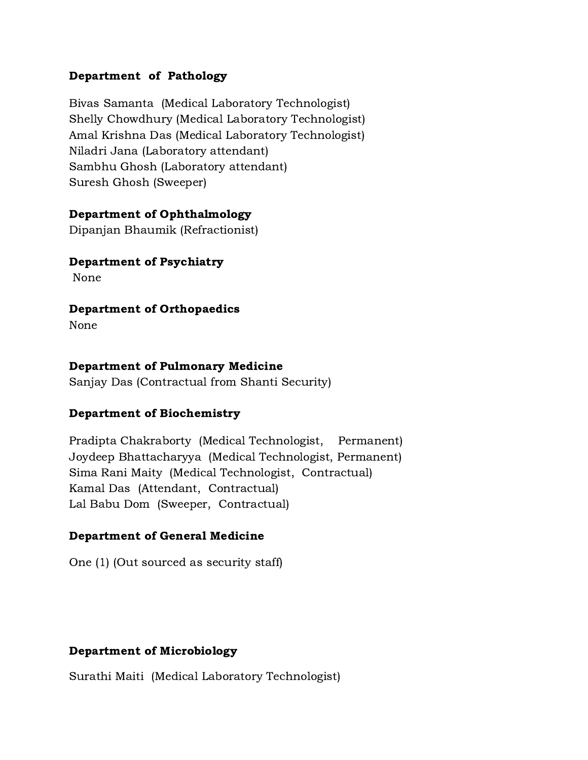#### Department of Pathology

Bivas Samanta (Medical Laboratory Technologist) Shelly Chowdhury (Medical Laboratory Technologist) Amal Krishna Das (Medical Laboratory Technologist) Niladri Jana (Laboratory attendant) Sambhu Ghosh (Laboratory attendant) Suresh Ghosh (Sweeper)

#### Department of Ophthalmology

Dipanjan Bhaumik (Refractionist)

#### Department of Psychiatry

None

#### Department of Orthopaedics

None

#### Department of Pulmonary Medicine

Sanjay Das (Contractual from Shanti Security)

#### Department of Biochemistry

Pradipta Chakraborty (Medical Technologist, Permanent) Joydeep Bhattacharyya (Medical Technologist, Permanent) Sima Rani Maity (Medical Technologist, Contractual) Kamal Das (Attendant, Contractual) Lal Babu Dom (Sweeper, Contractual)

### Department of General Medicine

One (1) (Out sourced as security staff)

#### Department of Microbiology

Surathi Maiti (Medical Laboratory Technologist)